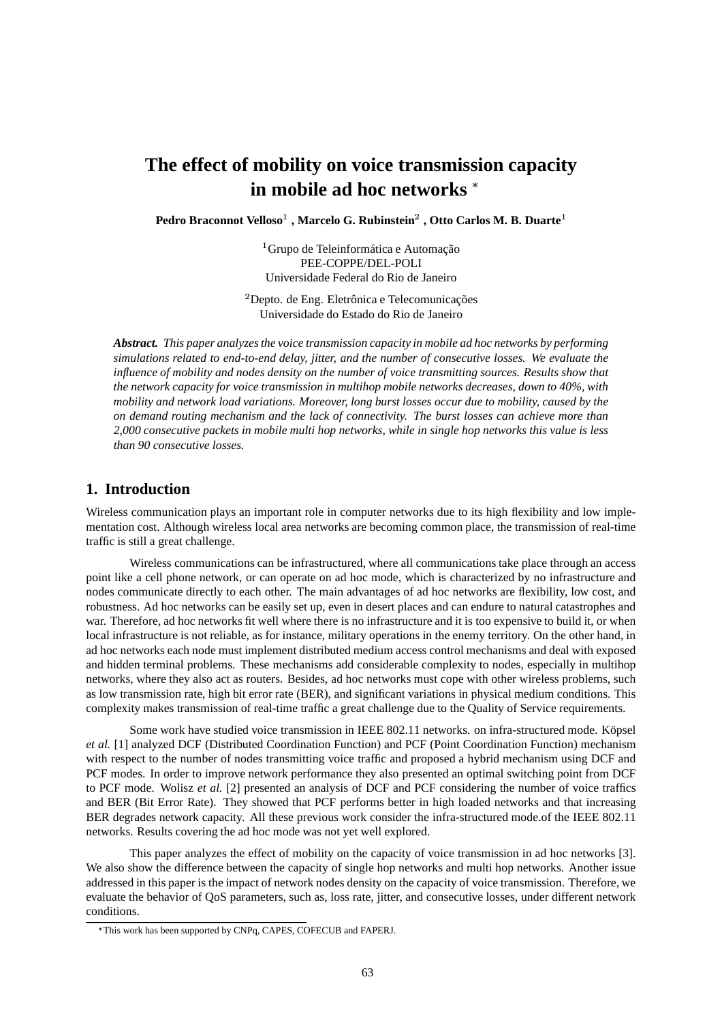# **The effect of mobility on voice transmission capacity in mobile ad hoc networks**

**Pedro Braconnot Velloso , Marcelo G. Rubinstein**- **, Otto Carlos M. B. Duarte**

<sup>1</sup> Grupo de Teleinformática e Automação PEE-COPPE/DEL-POLI Universidade Federal do Rio de Janeiro

<sup>2</sup>Depto. de Eng. Eletrônica e Telecomunicações Universidade do Estado do Rio de Janeiro

*Abstract. This paper analyzesthe voice transmission capacity in mobile ad hoc networks by performing simulations related to end-to-end delay, jitter, and the number of consecutive losses. We evaluate the influence of mobility and nodes density on the number of voice transmitting sources. Results show that the network capacity for voice transmission in multihop mobile networks decreases, down to 40%, with mobility and network load variations. Moreover, long burst losses occur due to mobility, caused by the on demand routing mechanism and the lack of connectivity. The burst losses can achieve more than 2,000 consecutive packets in mobile multi hop networks, while in single hop networks this value is less than 90 consecutive losses.*

## **1. Introduction**

Wireless communication plays an important role in computer networks due to its high flexibility and low implementation cost. Although wireless local area networks are becoming common place, the transmission of real-time traffic is still a great challenge.

Wireless communications can be infrastructured, where all communications take place through an access point like a cell phone network, or can operate on ad hoc mode, which is characterized by no infrastructure and nodes communicate directly to each other. The main advantages of ad hoc networks are flexibility, low cost, and robustness. Ad hoc networks can be easily set up, even in desert places and can endure to natural catastrophes and war. Therefore, ad hoc networks fit well where there is no infrastructure and it is too expensive to build it, or when local infrastructure is not reliable, as for instance, military operations in the enemy territory. On the other hand, in ad hoc networks each node must implement distributed medium access control mechanisms and deal with exposed and hidden terminal problems. These mechanisms add considerable complexity to nodes, especially in multihop networks, where they also act as routers. Besides, ad hoc networks must cope with other wireless problems, such as low transmission rate, high bit error rate (BER), and significant variations in physical medium conditions. This complexity makes transmission of real-time traffic a great challenge due to the Quality of Service requirements.

Some work have studied voice transmission in IEEE 802.11 networks. on infra-structured mode. Köpsel *et al.* [1] analyzed DCF (Distributed Coordination Function) and PCF (Point Coordination Function) mechanism with respect to the number of nodes transmitting voice traffic and proposed a hybrid mechanism using DCF and PCF modes. In order to improve network performance they also presented an optimal switching point from DCF to PCF mode. Wolisz *et al.* [2] presented an analysis of DCF and PCF considering the number of voice traffics and BER (Bit Error Rate). They showed that PCF performs better in high loaded networks and that increasing BER degrades network capacity. All these previous work consider the infra-structured mode.of the IEEE 802.11 networks. Results covering the ad hoc mode was not yet well explored.

This paper analyzes the effect of mobility on the capacity of voice transmission in ad hoc networks [3]. We also show the difference between the capacity of single hop networks and multi hop networks. Another issue addressed in this paper is the impact of network nodes density on the capacity of voice transmission. Therefore, we evaluate the behavior of QoS parameters, such as, loss rate, jitter, and consecutive losses, under different network conditions.

This work has been supported by CNPq, CAPES, COFECUB and FAPERJ.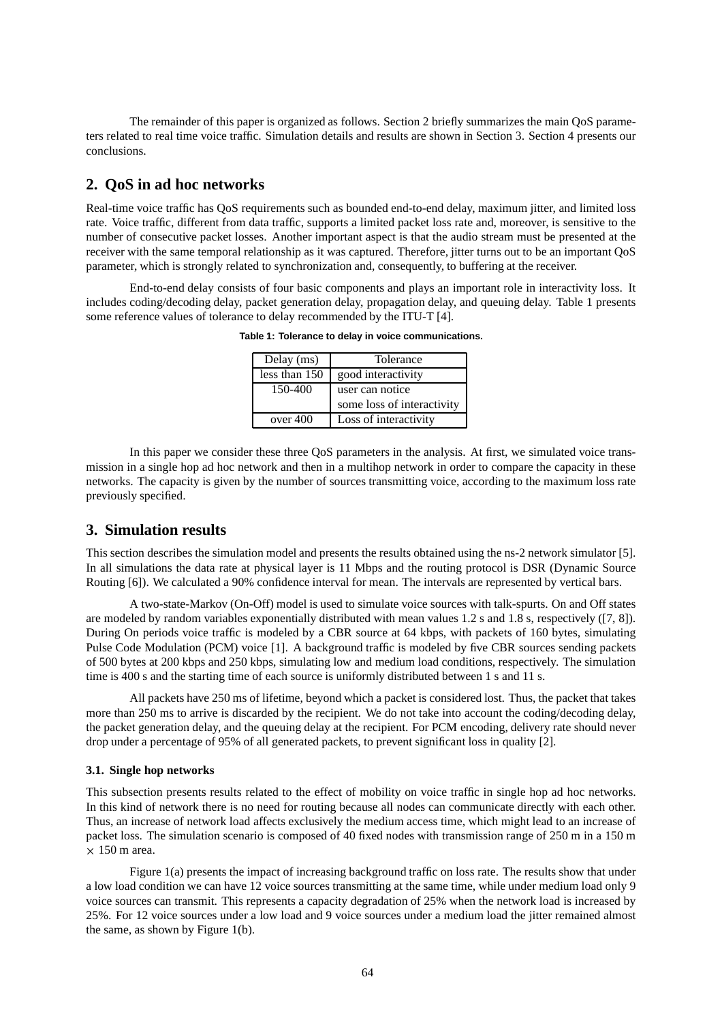The remainder of this paper is organized as follows. Section 2 briefly summarizes the main QoS parameters related to real time voice traffic. Simulation details and results are shown in Section 3. Section 4 presents our conclusions.

## **2. QoS in ad hoc networks**

Real-time voice traffic has QoS requirements such as bounded end-to-end delay, maximum jitter, and limited loss rate. Voice traffic, different from data traffic, supports a limited packet loss rate and, moreover, is sensitive to the number of consecutive packet losses. Another important aspect is that the audio stream must be presented at the receiver with the same temporal relationship as it was captured. Therefore, jitter turns out to be an important QoS parameter, which is strongly related to synchronization and, consequently, to buffering at the receiver.

End-to-end delay consists of four basic components and plays an important role in interactivity loss. It includes coding/decoding delay, packet generation delay, propagation delay, and queuing delay. Table 1 presents some reference values of tolerance to delay recommended by the ITU-T [4].

| Delay (ms)    | Tolerance                  |  |  |
|---------------|----------------------------|--|--|
| less than 150 | good interactivity         |  |  |
| 150-400       | user can notice            |  |  |
|               | some loss of interactivity |  |  |
| over 400      | Loss of interactivity      |  |  |

**Table 1: Tolerance to delay in voice communications.**

In this paper we consider these three QoS parameters in the analysis. At first, we simulated voice transmission in a single hop ad hoc network and then in a multihop network in order to compare the capacity in these networks. The capacity is given by the number of sources transmitting voice, according to the maximum loss rate previously specified.

## **3. Simulation results**

This section describes the simulation model and presents the results obtained using the ns-2 network simulator [5]. In all simulations the data rate at physical layer is 11 Mbps and the routing protocol is DSR (Dynamic Source Routing [6]). We calculated a 90% confidence interval for mean. The intervals are represented by vertical bars.

A two-state-Markov (On-Off) model is used to simulate voice sources with talk-spurts. On and Off states are modeled by random variables exponentially distributed with mean values 1.2 s and 1.8 s, respectively ([7, 8]). During On periods voice traffic is modeled by a CBR source at 64 kbps, with packets of 160 bytes, simulating Pulse Code Modulation (PCM) voice [1]. A background traffic is modeled by five CBR sources sending packets of 500 bytes at 200 kbps and 250 kbps, simulating low and medium load conditions, respectively. The simulation time is 400 s and the starting time of each source is uniformly distributed between 1 s and 11 s.

All packets have 250 ms of lifetime, beyond which a packet is considered lost. Thus, the packet that takes more than 250 ms to arrive is discarded by the recipient. We do not take into account the coding/decoding delay, the packet generation delay, and the queuing delay at the recipient. For PCM encoding, delivery rate should never drop under a percentage of 95% of all generated packets, to prevent significant loss in quality [2].

#### **3.1. Single hop networks**

This subsection presents results related to the effect of mobility on voice traffic in single hop ad hoc networks. In this kind of network there is no need for routing because all nodes can communicate directly with each other. Thus, an increase of network load affects exclusively the medium access time, which might lead to an increase of packet loss. The simulation scenario is composed of 40 fixed nodes with transmission range of 250 m in a 150 m  $\times$  150 m area.

Figure 1(a) presents the impact of increasing background traffic on loss rate. The results show that under a low load condition we can have 12 voice sources transmitting at the same time, while under medium load only 9 voice sources can transmit. This represents a capacity degradation of 25% when the network load is increased by 25%. For 12 voice sources under a low load and 9 voice sources under a medium load the jitter remained almost the same, as shown by Figure 1(b).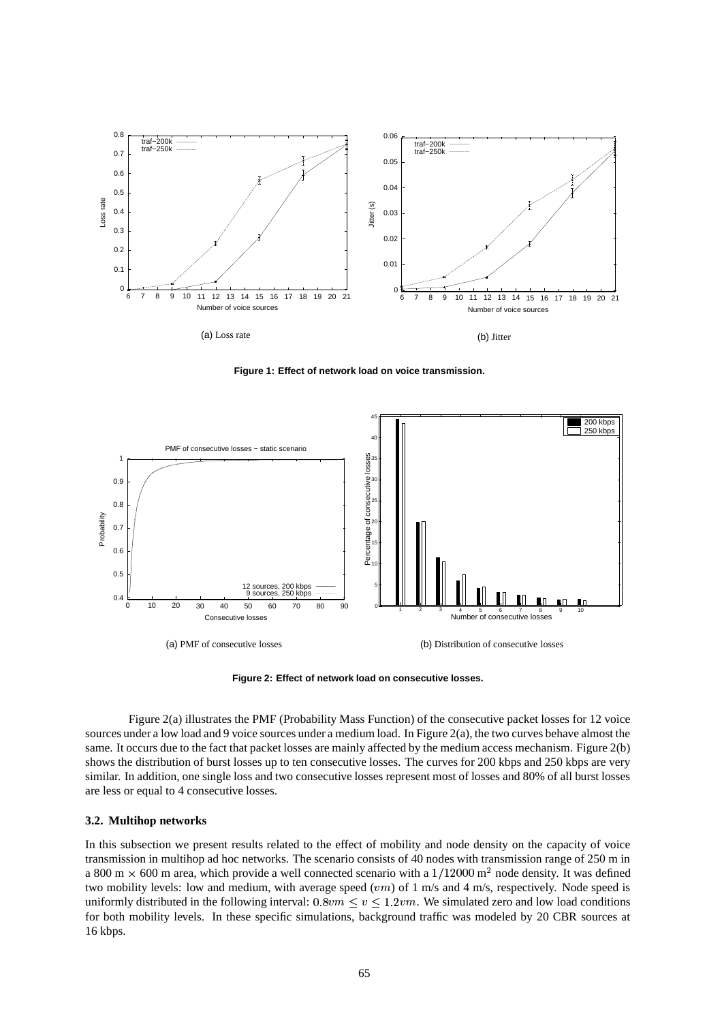

**Figure 1: Effect of network load on voice transmission.**



**Figure 2: Effect of network load on consecutive losses.**

Figure 2(a) illustrates the PMF (Probability Mass Function) of the consecutive packet losses for 12 voice sources under a low load and 9 voice sources under a medium load. In Figure 2(a), the two curves behave almost the same. It occurs due to the fact that packet losses are mainly affected by the medium access mechanism. Figure 2(b) shows the distribution of burst losses up to ten consecutive losses. The curves for 200 kbps and 250 kbps are very similar. In addition, one single loss and two consecutive losses represent most of losses and 80% of all burst losses are less or equal to 4 consecutive losses.

#### **3.2. Multihop networks**

In this subsection we present results related to the effect of mobility and node density on the capacity of voice transmission in multihop ad hoc networks. The scenario consists of 40 nodes with transmission range of 250 m in a 800 m  $\times$  600 m area, which provide a well connected scenario with a  $1/12000$  m<sup>2</sup> node density. It was defined two mobility levels: low and medium, with average speed  $(vm)$  of 1 m/s and 4 m/s, respectively. Node speed is uniformly distributed in the following interval:  $0.8vm \le v \le 1.2vm$ . We simulated zero and low load conditions for both mobility levels. In these specific simulations, background traffic was modeled by 20 CBR sources at 16 kbps.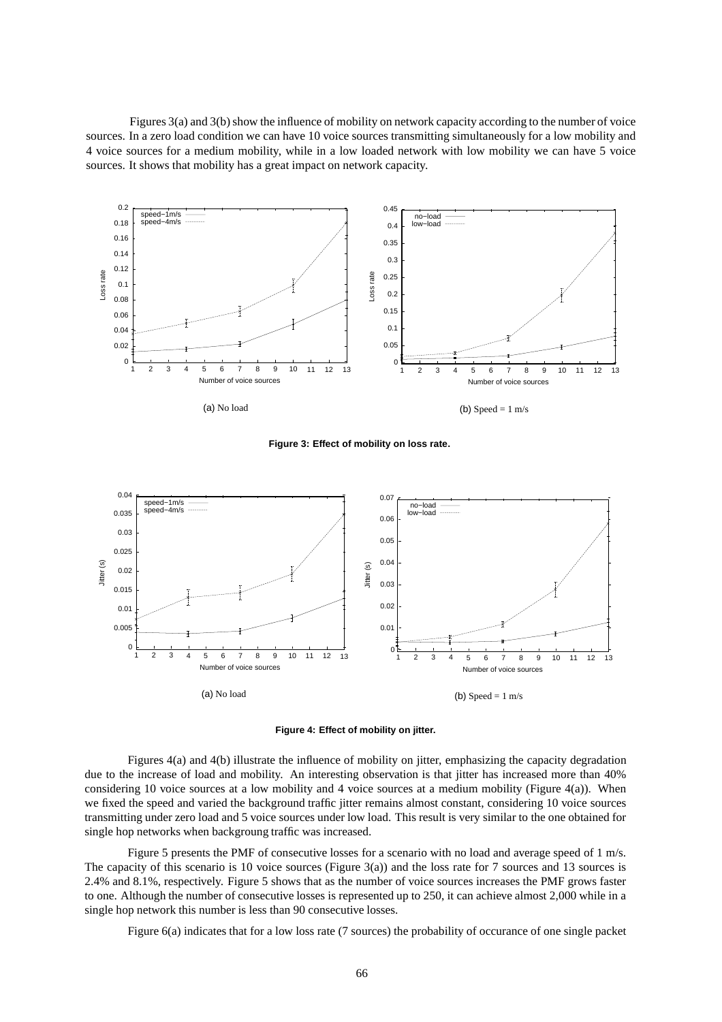Figures  $3(a)$  and  $3(b)$  show the influence of mobility on network capacity according to the number of voice sources. In a zero load condition we can have 10 voice sources transmitting simultaneously for a low mobility and 4 voice sources for a medium mobility, while in a low loaded network with low mobility we can have 5 voice sources. It shows that mobility has a great impact on network capacity.



**Figure 3: Effect of mobility on loss rate.**



**Figure 4: Effect of mobility on jitter.**

Figures 4(a) and 4(b) illustrate the influence of mobility on jitter, emphasizing the capacity degradation due to the increase of load and mobility. An interesting observation is that jitter has increased more than 40% considering 10 voice sources at a low mobility and 4 voice sources at a medium mobility (Figure 4(a)). When we fixed the speed and varied the background traffic jitter remains almost constant, considering 10 voice sources transmitting under zero load and 5 voice sources under low load. This result is very similar to the one obtained for single hop networks when backgroung traffic was increased.

Figure 5 presents the PMF of consecutive losses for a scenario with no load and average speed of 1 m/s. The capacity of this scenario is 10 voice sources (Figure 3(a)) and the loss rate for 7 sources and 13 sources is 2.4% and 8.1%, respectively. Figure 5 shows that as the number of voice sources increases the PMF grows faster to one. Although the number of consecutive losses is represented up to 250, it can achieve almost 2,000 while in a single hop network this number is less than 90 consecutive losses.

Figure 6(a) indicates that for a low loss rate (7 sources) the probability of occurance of one single packet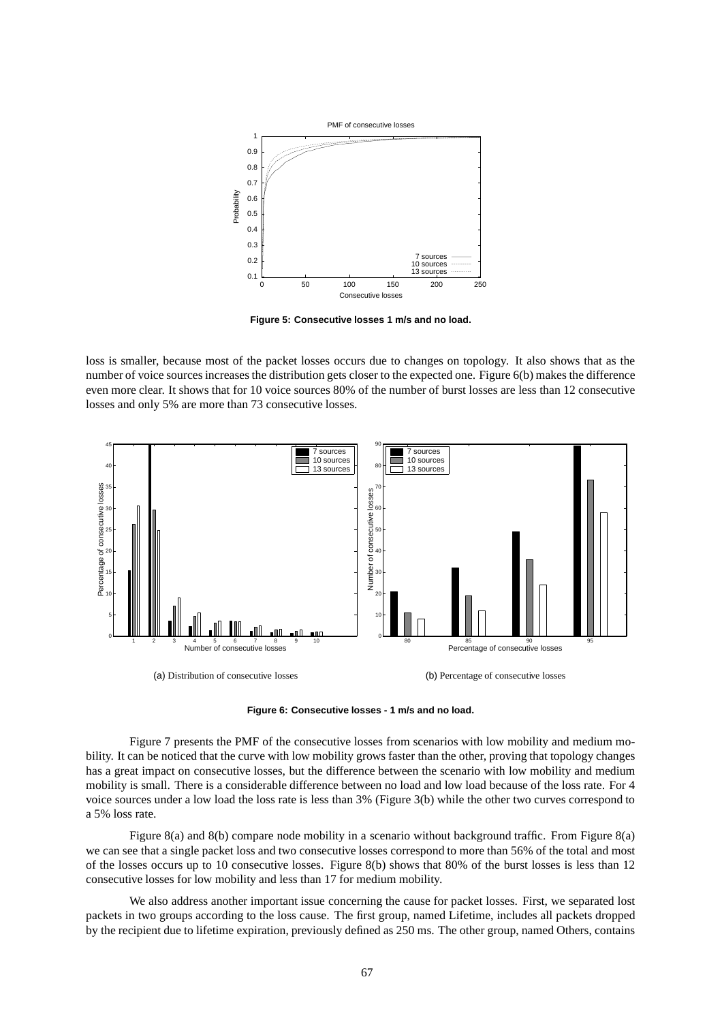

**Figure 5: Consecutive losses 1 m/s and no load.**

loss is smaller, because most of the packet losses occurs due to changes on topology. It also shows that as the number of voice sources increases the distribution gets closer to the expected one. Figure 6(b) makes the difference even more clear. It shows that for 10 voice sources 80% of the number of burst losses are less than 12 consecutive losses and only 5% are more than 73 consecutive losses.



**Figure 6: Consecutive losses - 1 m/s and no load.**

Figure 7 presents the PMF of the consecutive losses from scenarios with low mobility and medium mobility. It can be noticed that the curve with low mobility grows faster than the other, proving that topology changes has a great impact on consecutive losses, but the difference between the scenario with low mobility and medium mobility is small. There is a considerable difference between no load and low load because of the loss rate. For 4 voice sources under a low load the loss rate is less than 3% (Figure 3(b) while the other two curves correspond to a 5% loss rate.

Figure 8(a) and 8(b) compare node mobility in a scenario without background traffic. From Figure 8(a) we can see that a single packet loss and two consecutive losses correspond to more than 56% of the total and most of the losses occurs up to 10 consecutive losses. Figure 8(b) shows that 80% of the burst losses is less than 12 consecutive losses for low mobility and less than 17 for medium mobility.

We also address another important issue concerning the cause for packet losses. First, we separated lost packets in two groups according to the loss cause. The first group, named Lifetime, includes all packets dropped by the recipient due to lifetime expiration, previously defined as 250 ms. The other group, named Others, contains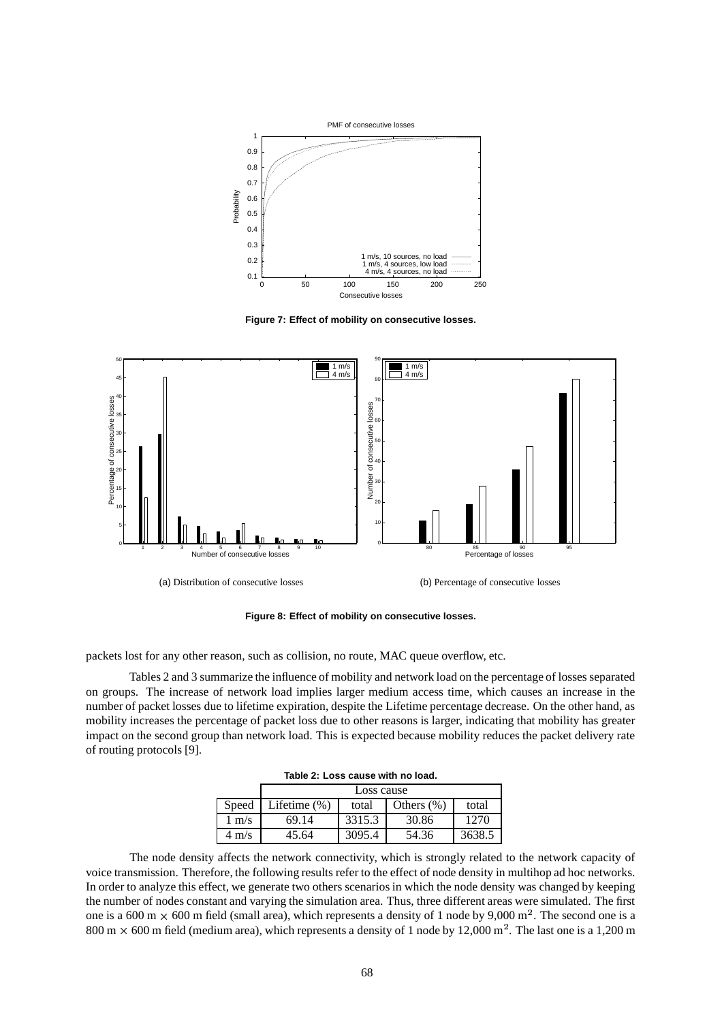

**Figure 7: Effect of mobility on consecutive losses.**



**Figure 8: Effect of mobility on consecutive losses.**

packets lost for any other reason, such as collision, no route, MAC queue overflow, etc.

Tables 2 and 3 summarize the influence of mobility and network load on the percentage of losses separated on groups. The increase of network load implies larger medium access time, which causes an increase in the number of packet losses due to lifetime expiration, despite the Lifetime percentage decrease. On the other hand, as mobility increases the percentage of packet loss due to other reasons is larger, indicating that mobility has greater impact on the second group than network load. This is expected because mobility reduces the packet delivery rate of routing protocols [9].

|                 | Loss cause   |        |               |        |  |  |  |
|-----------------|--------------|--------|---------------|--------|--|--|--|
| Speed           | Lifetime (%) | total  | Others $(\%)$ | total  |  |  |  |
| m/s             | 69.14        | 3315.3 | 30.86         | 1270   |  |  |  |
| $4 \text{ m/s}$ | 45.64        | 3095.4 | 54.36         | 3638.5 |  |  |  |

**Table 2: Loss cause with no load.**

The node density affects the network connectivity, which is strongly related to the network capacity of voice transmission. Therefore, the following results refer to the effect of node density in multihop ad hoc networks. In order to analyze this effect, we generate two others scenarios in which the node density was changed by keeping the number of nodes constant and varying the simulation area. Thus, three different areas were simulated. The first one is a 600 m  $\times$  600 m field (small area), which represents a density of 1 node by 9,000 m<sup>2</sup>. The second one is a 800 m  $\times$  600 m field (medium area), which represents a density of 1 node by 12,000 m<sup>2</sup>. The last one is a 1,200 m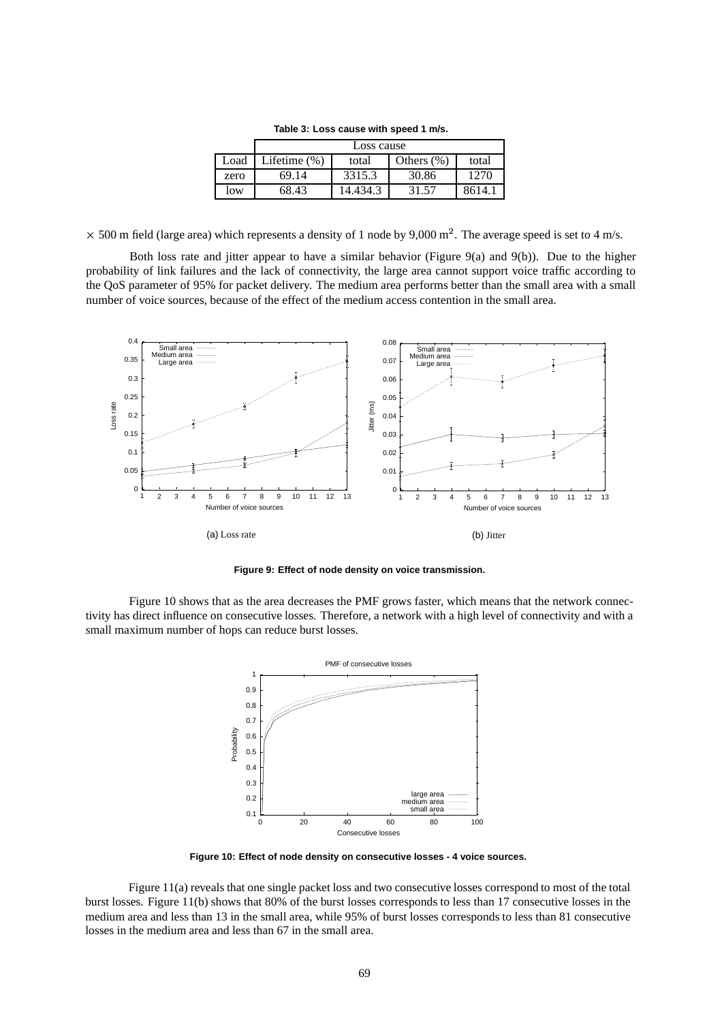**Table 3: Loss cause with speed 1 m/s.** Loss cause

|      | Loss cause      |          |               |        |  |
|------|-----------------|----------|---------------|--------|--|
| Load | Lifetime $(\%)$ | total    | Others $(\%)$ | total  |  |
| zero | 69.14           | 3315.3   | 30.86         | 1270   |  |
| low  | 68.43           | 14.434.3 | 31.57         | 8614.1 |  |

 $\times$  500 m field (large area) which represents a density of 1 node by 9,000 m<sup>2</sup>. The average speed is set to 4 m/s.

Both loss rate and jitter appear to have a similar behavior (Figure 9(a) and 9(b)). Due to the higher probability of link failures and the lack of connectivity, the large area cannot support voice traffic according to the QoS parameter of 95% for packet delivery. The medium area performs better than the small area with a small number of voice sources, because of the effect of the medium access contention in the small area.



**Figure 9: Effect of node density on voice transmission.**

Figure 10 shows that as the area decreases the PMF grows faster, which means that the network connectivity has direct influence on consecutive losses. Therefore, a network with a high level of connectivity and with a small maximum number of hops can reduce burst losses.



**Figure 10: Effect of node density on consecutive losses - 4 voice sources.**

Figure 11(a) reveals that one single packet loss and two consecutive losses correspond to most of the total burst losses. Figure 11(b) shows that 80% of the burst losses corresponds to less than 17 consecutive losses in the medium area and less than 13 in the small area, while 95% of burst losses corresponds to less than 81 consecutive losses in the medium area and less than 67 in the small area.